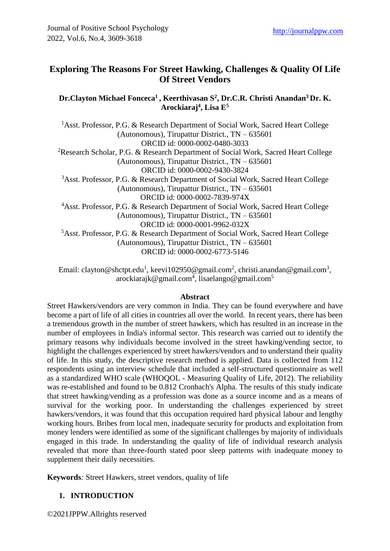## **Exploring The Reasons For Street Hawking, Challenges & Quality Of Life Of Street Vendors**

**Dr.Clayton Michael Fonceca<sup>1</sup>, Keerthivasan S<sup>2</sup> , Dr.C.R. Christi Anandan<sup>3</sup> Dr. K. Arockiaraj<sup>4</sup> , Lisa E<sup>5</sup>**

<sup>1</sup>Asst. Professor, P.G. & Research Department of Social Work, Sacred Heart College (Autonomous), Tirupattur District., TN – 635601 ORCID id: 0000-0002-0480-3033 <sup>2</sup>Research Scholar, P.G. & Research Department of Social Work, Sacred Heart College (Autonomous), Tirupattur District., TN – 635601 ORCID id: 0000-0002-9430-3824 <sup>3</sup>Asst. Professor, P.G. & Research Department of Social Work, Sacred Heart College (Autonomous), Tirupattur District., TN – 635601 ORCID id: 0000-0002-7839-974X <sup>4</sup>Asst. Professor, P.G. & Research Department of Social Work, Sacred Heart College (Autonomous), Tirupattur District., TN – 635601 ORCID id: 0000-0001-9962-032X <sup>5</sup>Asst. Professor, P.G. & Research Department of Social Work, Sacred Heart College (Autonomous), Tirupattur District., TN – 635601 ORCID id: 0000-0002-6773-5146

Email: [clayton@shctpt.edu](mailto:clayton@shctpt.edu1)<sup>1</sup>, [keevi102950@gmail.com](mailto:keevi102950@gmail.com2)<sup>2</sup>, [christi.anandan@gmail.com](mailto:christi.anandan@gmail.com3)<sup>3</sup>, [arockiarajk@gmail.com](mailto:arockiarajk@gmail.com4)<sup>4</sup>, [lisaelango@gmail.com](mailto:lisaelango@gmail.com5)<sup>5</sup>

#### **Abstract**

Street Hawkers/vendors are very common in India. They can be found everywhere and have become a part of life of all cities in countries all over the world. In recent years, there has been a tremendous growth in the number of street hawkers, which has resulted in an increase in the number of employees in India's informal sector. This research was carried out to identify the primary reasons why individuals become involved in the street hawking/vending sector, to highlight the challenges experienced by street hawkers/vendors and to understand their quality of life. In this study, the descriptive research method is applied. Data is collected from 112 respondents using an interview schedule that included a self-structured questionnaire as well as a standardized WHO scale (WHOQOL - Measuring Quality of Life, 2012). The reliability was re-established and found to be 0.812 Cronbach's Alpha. The results of this study indicate that street hawking/vending as a profession was done as a source income and as a means of survival for the working poor. In understanding the challenges experienced by street hawkers/vendors, it was found that this occupation required hard physical labour and lengthy working hours. Bribes from local men, inadequate security for products and exploitation from money lenders were identified as some of the significant challenges by majority of individuals engaged in this trade. In understanding the quality of life of individual research analysis revealed that more than three-fourth stated poor sleep patterns with inadequate money to supplement their daily necessities.

**Keywords***:* Street Hawkers, street vendors, quality of life

#### **1. INTRODUCTION**

©2021JPPW.Allrights reserved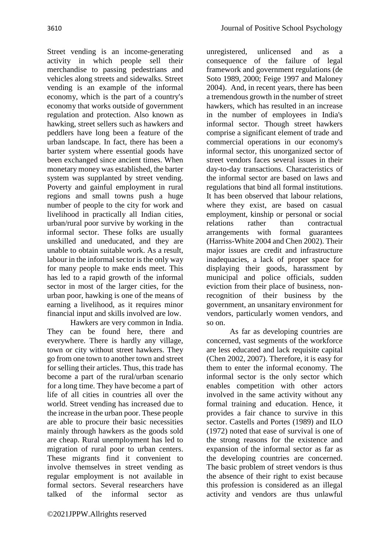Street vending is an income-generating activity in which people sell their merchandise to passing pedestrians and vehicles along streets and sidewalks. Street vending is an example of the informal economy, which is the part of a country's economy that works outside of government regulation and protection. Also known as hawking, street sellers such as hawkers and peddlers have long been a feature of the urban landscape. In fact, there has been a barter system where essential goods have been exchanged since ancient times. When monetary money was established, the barter system was supplanted by street vending. Poverty and gainful employment in rural regions and small towns push a huge number of people to the city for work and livelihood in practically all Indian cities, urban/rural poor survive by working in the informal sector. These folks are usually unskilled and uneducated, and they are unable to obtain suitable work. As a result labour in the informal sector is the only way for many people to make ends meet. This has led to a rapid growth of the informal sector in most of the larger cities, for the urban poor, hawking is one of the means of earning a livelihood, as it requires minor financial input and skills involved are low.

Hawkers are very common in India. They can be found here, there and everywhere. There is hardly any village, town or city without street hawkers. They go from one town to another town and street for selling their articles. Thus, this trade has become a part of the rural/urban scenario for a long time. They have become a part of life of all cities in countries all over the world. Street vending has increased due to the increase in the urban poor. These people are able to procure their basic necessities mainly through hawkers as the goods sold are cheap. Rural unemployment has led to migration of rural poor to urban centers. These migrants find it convenient to involve themselves in street vending as regular employment is not available in formal sectors. Several researchers have talked of the informal sector as

unregistered, unlicensed and as a consequence of the failure of legal framework and government regulations (de Soto 1989, 2000; Feige 1997 and Maloney 2004). And, in recent years, there has been a tremendous growth in the number of street hawkers, which has resulted in an increase in the number of employees in India's informal sector. Though street hawkers comprise a significant element of trade and commercial operations in our economy's informal sector, this unorganized sector of street vendors faces several issues in their day-to-day transactions. Characteristics of the informal sector are based on laws and regulations that bind all formal institutions. It has been observed that labour relations, where they exist, are based on casual employment, kinship or personal or social relations rather than contractual arrangements with formal guarantees (Harriss-White 2004 and Chen 2002). Their major issues are credit and infrastructure inadequacies, a lack of proper space for displaying their goods, harassment by municipal and police officials, sudden eviction from their place of business, nonrecognition of their business by the government, an unsanitary environment for vendors, particularly women vendors, and so on.

As far as developing countries are concerned, vast segments of the workforce are less educated and lack requisite capital (Chen 2002, 2007). Therefore, it is easy for them to enter the informal economy. The informal sector is the only sector which enables competition with other actors involved in the same activity without any formal training and education. Hence, it provides a fair chance to survive in this sector. Castells and Portes (1989) and ILO (1972) noted that ease of survival is one of the strong reasons for the existence and expansion of the informal sector as far as the developing countries are concerned. The basic problem of street vendors is thus the absence of their right to exist because this profession is considered as an illegal activity and vendors are thus unlawful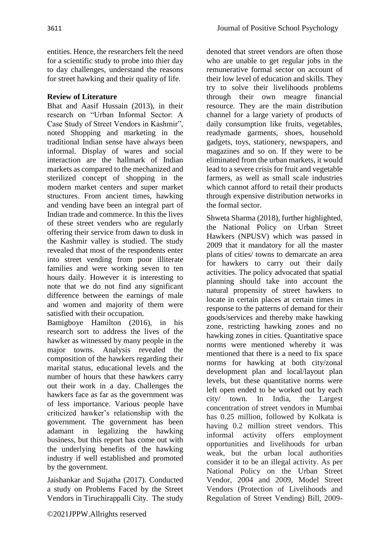entities. Hence, the researchers felt the need for a scientific study to probe into thier day to day challenges, understand the reasons for street hawking and their quality of life.

# **Review of Literature**

Bhat and Aasif Hussain (2013), in their research on "Urban Informal Sector: A Case Study of Street Vendors in Kashmir", noted Shopping and marketing in the traditional Indian sense have always been informal. Display of wares and social interaction are the hallmark of Indian markets as compared to the mechanized and sterilized concept of shopping in the modern market centers and super market structures. From ancient times, hawking and vending have been an integral part of Indian trade and commerce. In this the lives of these street venders who are regularly offering their service from dawn to dusk in the Kashmir valley is studied. The study revealed that most of the respondents enter into street vending from poor illiterate families and were working seven to ten hours daily. However it is interesting to note that we do not find any significant difference between the earnings of male and women and majority of them were satisfied with their occupation.

Bamigboye Hamilton (2016), in his research sort to address the lives of the hawker as witnessed by many people in the major towns. Analysis revealed the composition of the hawkers regarding their marital status, educational levels and the number of hours that these hawkers carry out their work in a day. Challenges the hawkers face as far as the government was of less importance. Various people have criticized hawker's relationship with the government. The government has been adamant in legalizing the hawking business, but this report has come out with the underlying benefits of the hawking industry if well established and promoted by the government.

Jaishankar and Sujatha (2017). Conducted a study on Problems Faced by the Street Vendors in Tiruchirappalli City. The study denoted that street vendors are often those who are unable to get regular jobs in the remunerative formal sector on account of their low level of education and skills. They try to solve their livelihoods problems through their own meagre financial resource. They are the main distribution channel for a large variety of products of daily consumption like fruits, vegetables, readymade garments, shoes, household gadgets, toys, stationery, newspapers, and magazines and so on. If they were to be eliminated from the urban markets, it would lead to a severe crisis for fruit and vegetable farmers, as well as small scale industries which cannot afford to retail their products through expensive distribution networks in the formal sector.

Shweta Sharma (2018), further highlighted, the National Policy on Urban Street Hawkers (NPUSV) which was passed in 2009 that it mandatory for all the master plans of cities/ towns to demarcate an area for hawkers to carry out their daily activities. The policy advocated that spatial planning should take into account the natural propensity of street hawkers to locate in certain places at certain times in response to the patterns of demand for their goods/services and thereby make hawking zone, restricting hawking zones and no hawking zones in cities. Quantitative space norms were mentioned whereby it was mentioned that there is a need to fix space norms for hawking at both city/zonal development plan and local/layout plan levels, but these quantitative norms were left open ended to be worked out by each city/ town. In India, the Largest concentration of street vendors in Mumbai has 0.25 million, followed by Kolkata is having 0.2 million street vendors. This informal activity offers employment opportunities and livelihoods for urban weak, but the urban local authorities consider it to be an illegal activity. As per National Policy on the Urban Street Vendor, 2004 and 2009, Model Street Vendors (Protection of Livelihoods and Regulation of Street Vending) Bill, 2009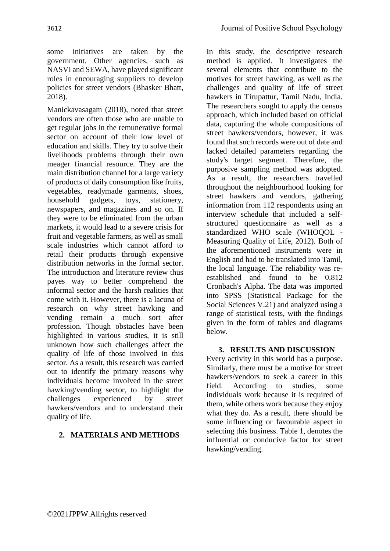some initiatives are taken by the government. Other agencies, such as NASVI and SEWA, have played significant roles in encouraging suppliers to develop policies for street vendors (Bhasker Bhatt, 2018).

Manickavasagam (2018), noted that street vendors are often those who are unable to get regular jobs in the remunerative formal sector on account of their low level of education and skills. They try to solve their livelihoods problems through their own meager financial resource. They are the main distribution channel for a large variety of products of daily consumption like fruits, vegetables, readymade garments, shoes, household gadgets, toys, stationery, newspapers, and magazines and so on. If they were to be eliminated from the urban markets, it would lead to a severe crisis for fruit and vegetable farmers, as well as small scale industries which cannot afford to retail their products through expensive distribution networks in the formal sector. The introduction and literature review thus payes way to better comprehend the informal sector and the harsh realities that come with it. However, there is a lacuna of research on why street hawking and vending remain a much sort after profession. Though obstacles have been highlighted in various studies, it is still unknown how such challenges affect the quality of life of those involved in this sector. As a result, this research was carried out to identify the primary reasons why individuals become involved in the street hawking/vending sector, to highlight the challenges experienced by street hawkers/vendors and to understand their quality of life.

### **2. MATERIALS AND METHODS**

In this study, the descriptive research method is applied. It investigates the several elements that contribute to the motives for street hawking, as well as the challenges and quality of life of street hawkers in Tirupattur, Tamil Nadu, India. The researchers sought to apply the census approach, which included based on official data, capturing the whole compositions of street hawkers/vendors, however, it was found that such records were out of date and lacked detailed parameters regarding the study's target segment. Therefore, the purposive sampling method was adopted. As a result, the researchers travelled throughout the neighbourhood looking for street hawkers and vendors, gathering information from 112 respondents using an interview schedule that included a selfstructured questionnaire as well as a standardized WHO scale (WHOQOL - Measuring Quality of Life, 2012). Both of the aforementioned instruments were in English and had to be translated into Tamil, the local language. The reliability was reestablished and found to be 0.812 Cronbach's Alpha. The data was imported into SPSS (Statistical Package for the Social Sciences V.21) and analyzed using a range of statistical tests, with the findings given in the form of tables and diagrams below.

#### **3. RESULTS AND DISCUSSION**

Every activity in this world has a purpose. Similarly, there must be a motive for street hawkers/vendors to seek a career in this field. According to studies, some individuals work because it is required of them, while others work because they enjoy what they do. As a result, there should be some influencing or favourable aspect in selecting this business. Table 1, denotes the influential or conducive factor for street hawking/vending.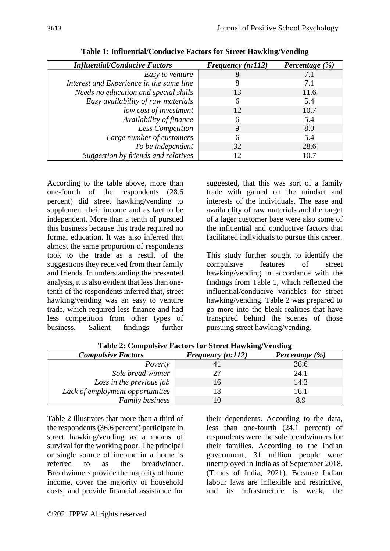| Infinemula Conductve Pacifics            | $\Gamma$ requency $\left( \frac{n}{12} \right)$ | $\bf{l}$ creating $(70)$ |
|------------------------------------------|-------------------------------------------------|--------------------------|
| Easy to venture                          | 8                                               | 7.1                      |
| Interest and Experience in the same line | 8                                               | 7.1                      |
| Needs no education and special skills    | 13                                              | 11.6                     |
| Easy availability of raw materials       | 6                                               | 5.4                      |
| low cost of investment                   | 12                                              | 10.7                     |
| Availability of finance                  | 6                                               | 5.4                      |
| Less Competition                         | 9                                               | 8.0                      |
| Large number of customers                | 6                                               | 5.4                      |
| To be independent                        | 32                                              | 28.6                     |
| Suggestion by friends and relatives      | 12                                              | 10.7                     |
|                                          |                                                 |                          |
|                                          |                                                 |                          |
|                                          |                                                 |                          |

**Table 1: Influential/Conducive Factors for Street Hawking/Vending**

*Influential/Conducive Factors Frequency (n:112) Percentage (%)*

According to the table above, more than one-fourth of the respondents (28.6 percent) did street hawking/vending to supplement their income and as fact to be independent. More than a tenth of pursued this business because this trade required no formal education. It was also inferred that almost the same proportion of respondents took to the trade as a result of the suggestions they received from their family and friends. In understanding the presented analysis, it is also evident that less than onetenth of the respondents inferred that, street hawking/vending was an easy to venture trade, which required less finance and had less competition from other types of business. Salient findings further

suggested, that this was sort of a family trade with gained on the mindset and interests of the individuals. The ease and availability of raw materials and the target of a lager customer base were also some of the influential and conductive factors that facilitated individuals to pursue this career.

This study further sought to identify the compulsive features of street hawking/vending in accordance with the findings from Table 1, which reflected the influential/conducive variables for street hawking/vending. Table 2 was prepared to go more into the bleak realities that have transpired behind the scenes of those pursuing street hawking/vending.

| <b>Compulsive Factors</b>        | Frequency $(n:112)$ | Percentage $(\%)$ |
|----------------------------------|---------------------|-------------------|
| Poverty                          |                     | 36.6              |
| Sole bread winner                |                     | 24.1              |
| Loss in the previous job         | 16                  | 14.3              |
| Lack of employment opportunities |                     | 16.1              |
| <b>Family business</b>           |                     | 89                |

**Table 2: Compulsive Factors for Street Hawking/Vending**

Table 2 illustrates that more than a third of the respondents (36.6 percent) participate in street hawking/vending as a means of survival for the working poor. The principal or single source of income in a home is referred to as the breadwinner. Breadwinners provide the majority of home income, cover the majority of household costs, and provide financial assistance for their dependents. According to the data, less than one-fourth (24.1 percent) of respondents were the sole breadwinners for their families. According to the Indian government, 31 million people were unemployed in India as of September 2018. (Times of India, 2021). Because Indian labour laws are inflexible and restrictive, and its infrastructure is weak, the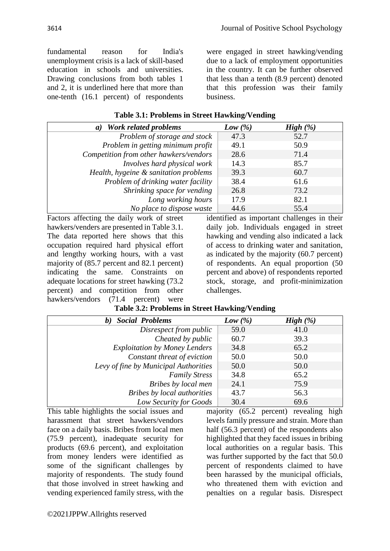fundamental reason for India's unemployment crisis is a lack of skill-based education in schools and universities. Drawing conclusions from both tables 1 and 2, it is underlined here that more than one-tenth (16.1 percent) of respondents

were engaged in street hawking/vending due to a lack of employment opportunities in the country. It can be further observed that less than a tenth (8.9 percent) denoted that this profession was their family business.

| Table 3.1: Problems in Street Hawking/Vending |
|-----------------------------------------------|
|-----------------------------------------------|

| a) Work related problems               | Low $(\% )$ | High $(\% )$ |
|----------------------------------------|-------------|--------------|
| Problem of storage and stock           | 47.3        | 52.7         |
| Problem in getting minimum profit      | 49.1        | 50.9         |
| Competition from other hawkers/vendors | 28.6        | 71.4         |
| Involves hard physical work            | 14.3        | 85.7         |
| Health, hygeine & sanitation problems  | 39.3        | 60.7         |
| Problem of drinking water facility     | 38.4        | 61.6         |
| Shrinking space for vending            | 26.8        | 73.2         |
| Long working hours                     | 17.9        | 82.1         |
| No place to dispose waste              | 44.6        | 55.4         |

Factors affecting the daily work of street hawkers/venders are presented in Table 3.1. The data reported here shows that this occupation required hard physical effort and lengthy working hours, with a vast majority of (85.7 percent and 82.1 percent) indicating the same. Constraints on adequate locations for street hawking (73.2 percent) and competition from other hawkers/vendors (71.4 percent) were identified as important challenges in their daily job. Individuals engaged in street hawking and vending also indicated a lack of access to drinking water and sanitation, as indicated by the majority (60.7 percent) of respondents. An equal proportion (50 percent and above) of respondents reported stock, storage, and profit-minimization challenges.

| <b>Social Problems</b><br><b>b</b> )  | Low $(\%)$ | High $(\%)$ |
|---------------------------------------|------------|-------------|
| Disrespect from public                | 59.0       | 41.0        |
| Cheated by public                     | 60.7       | 39.3        |
| <b>Exploitation by Money Lenders</b>  | 34.8       | 65.2        |
| Constant threat of eviction           | 50.0       | 50.0        |
| Levy of fine by Municipal Authorities | 50.0       | 50.0        |
| <b>Family Stress</b>                  | 34.8       | 65.2        |
| Bribes by local men                   | 24.1       | 75.9        |
| Bribes by local authorities           | 43.7       | 56.3        |
| Low Security for Goods                | 30.4       | 69.6        |

**Table 3.2: Problems in Street Hawking/Vending**

This table highlights the social issues and harassment that street hawkers/vendors face on a daily basis. Bribes from local men (75.9 percent), inadequate security for products (69.6 percent), and exploitation from money lenders were identified as some of the significant challenges by majority of respondents. The study found that those involved in street hawking and vending experienced family stress, with the

majority (65.2 percent) revealing high levels family pressure and strain. More than half (56.3 percent) of the respondents also highlighted that they faced issues in bribing local authorities on a regular basis. This was further supported by the fact that 50.0 percent of respondents claimed to have been harassed by the municipal officials, who threatened them with eviction and penalties on a regular basis. Disrespect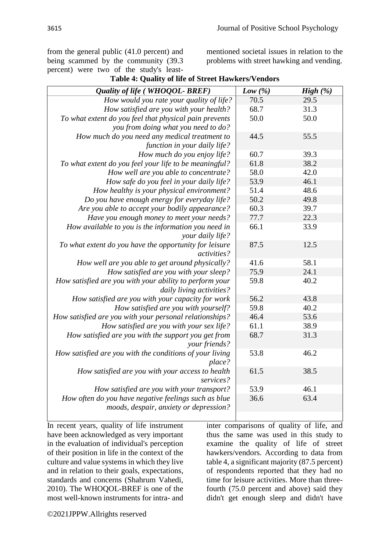from the general public (41.0 percent) and being scammed by the community (39.3 percent) were two of the study's least-

mentioned societal issues in relation to the problems with street hawking and vending.

| Quality of life (WHOQOL-BREF)                            | Low $(\%)$ | High $(\%)$ |
|----------------------------------------------------------|------------|-------------|
| How would you rate your quality of life?                 | 70.5       | 29.5        |
| How satisfied are you with your health?                  | 68.7       | 31.3        |
| To what extent do you feel that physical pain prevents   | 50.0       | 50.0        |
| you from doing what you need to do?                      |            |             |
| How much do you need any medical treatment to            | 44.5       | 55.5        |
| function in your daily life?                             |            |             |
| How much do you enjoy life?                              | 60.7       | 39.3        |
| To what extent do you feel your life to be meaningful?   | 61.8       | 38.2        |
| How well are you able to concentrate?                    | 58.0       | 42.0        |
| How safe do you feel in your daily life?                 | 53.9       | 46.1        |
| How healthy is your physical environment?                | 51.4       | 48.6        |
| Do you have enough energy for everyday life?             | 50.2       | 49.8        |
| Are you able to accept your bodily appearance?           | 60.3       | 39.7        |
| Have you enough money to meet your needs?                | 77.7       | 22.3        |
| How available to you is the information you need in      | 66.1       | 33.9        |
| your daily life?                                         |            |             |
| To what extent do you have the opportunity for leisure   | 87.5       | 12.5        |
| activities?                                              |            |             |
| How well are you able to get around physically?          | 41.6       | 58.1        |
| How satisfied are you with your sleep?                   | 75.9       | 24.1        |
| How satisfied are you with your ability to perform your  | 59.8       | 40.2        |
| daily living activities?                                 |            |             |
| How satisfied are you with your capacity for work        | 56.2       | 43.8        |
| How satisfied are you with yourself?                     | 59.8       | 40.2        |
| How satisfied are you with your personal relationships?  | 46.4       | 53.6        |
| How satisfied are you with your sex life?                | 61.1       | 38.9        |
| How satisfied are you with the support you get from      | 68.7       | 31.3        |
| your friends?                                            |            |             |
| How satisfied are you with the conditions of your living | 53.8       | 46.2        |
| place?                                                   |            |             |
| How satisfied are you with your access to health         | 61.5       | 38.5        |
| services?                                                |            |             |
| How satisfied are you with your transport?               | 53.9       | 46.1        |
| How often do you have negative feelings such as blue     | 36.6       | 63.4        |
| moods, despair, anxiety or depression?                   |            |             |
|                                                          |            |             |

#### **Table 4: Quality of life of Street Hawkers/Vendors**

In recent years, quality of life instrument have been acknowledged as very important in the evaluation of individual's perception of their position in life in the context of the culture and value systems in which they live and in relation to their goals, expectations, standards and concerns (Shahrum Vahedi, 2010). The WHOQOL-BREF is one of the most well-known instruments for intra- and inter comparisons of quality of life, and thus the same was used in this study to examine the quality of life of street hawkers/vendors. According to data from table 4, a significant majority (87.5 percent) of respondents reported that they had no time for leisure activities. More than threefourth (75.0 percent and above) said they didn't get enough sleep and didn't have

©2021JPPW.Allrights reserved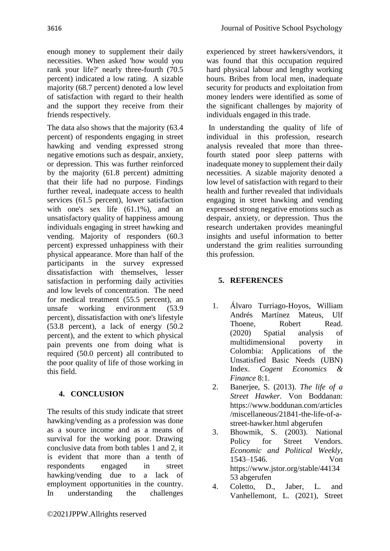enough money to supplement their daily necessities. When asked 'how would you rank your life?' nearly three-fourth (70.5 percent) indicated a low rating. A sizable majority (68.7 percent) denoted a low level of satisfaction with regard to their health and the support they receive from their friends respectively.

The data also shows that the majority (63.4 percent) of respondents engaging in street hawking and vending expressed strong negative emotions such as despair, anxiety, or depression. This was further reinforced by the majority (61.8 percent) admitting that their life had no purpose. Findings further reveal, inadequate access to health services (61.5 percent), lower satisfaction with one's sex life (61.1%), and an unsatisfactory quality of happiness amoung individuals engaging in street hawking and vending. Majority of responders (60.3 percent) expressed unhappiness with their physical appearance. More than half of the participants in the survey expressed dissatisfaction with themselves, lesser satisfaction in performing daily activities and low levels of concentration. The need for medical treatment (55.5 percent), an unsafe working environment (53.9 percent), dissatisfaction with one's lifestyle  $(53.8 \text{ percent})$ , a lack of energy  $(50.2$ percent), and the extent to which physical pain prevents one from doing what is required (50.0 percent) all contributed to the poor quality of life of those working in this field.

### **4. CONCLUSION**

The results of this study indicate that street hawking/vending as a profession was done as a source income and as a means of survival for the working poor. Drawing conclusive data from both tables 1 and 2, it is evident that more than a tenth of respondents engaged in street hawking/vending due to a lack of employment opportunities in the country. In understanding the challenges

experienced by street hawkers/vendors, it was found that this occupation required hard physical labour and lengthy working hours. Bribes from local men, inadequate security for products and exploitation from money lenders were identified as some of the significant challenges by majority of individuals engaged in this trade.

In understanding the quality of life of individual in this profession, research analysis revealed that more than threefourth stated poor sleep patterns with inadequate money to supplement their daily necessities. A sizable majority denoted a low level of satisfaction with regard to their health and further revealed that individuals engaging in street hawking and vending expressed strong negative emotions such as despair, anxiety, or depression. Thus the research undertaken provides meaningful insights and useful information to better understand the grim realities surrounding this profession.

#### **5. REFERENCES**

- 1. Álvaro Turriago-Hoyos, William Andrés Martínez Mateus, Ulf Thoene, Robert Read. (2020) [Spatial analysis of](https://www.tandfonline.com/doi/abs/10.1080/23322039.2020.1837441)  [multidimensional poverty in](https://www.tandfonline.com/doi/abs/10.1080/23322039.2020.1837441)  [Colombia: Applications of the](https://www.tandfonline.com/doi/abs/10.1080/23322039.2020.1837441)  [Unsatisfied Basic Needs \(UBN\)](https://www.tandfonline.com/doi/abs/10.1080/23322039.2020.1837441)  [Index.](https://www.tandfonline.com/doi/abs/10.1080/23322039.2020.1837441) *Cogent Economics & Finance* 8:1.
- 2. Banerjee, S. (2013). *The life of a Street Hawker.* Von Boddanan: https://www.boddunan.com/articles /miscellaneous/21841-the-life-of-astreet-hawker.html abgerufen
- 3. Bhowmik, S. (2003). National Policy for Street Vendors. *Economic and Political Weekly*, 1543–1546. Von https://www.jstor.org/stable/44134 53 abgerufen
- 4. Coletto, D., Jaber, L. and Vanhellemont, L. (2021), Street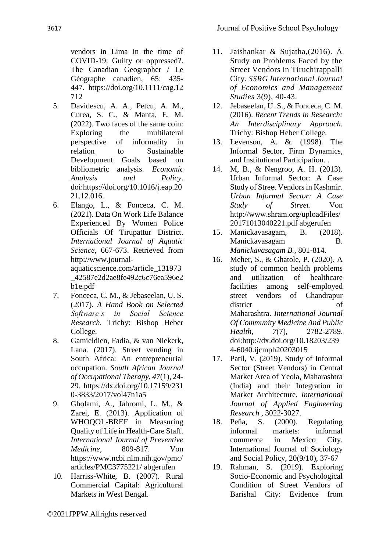vendors in Lima in the time of COVID-19: Guilty or oppressed?. The Canadian Geographer / Le Géographe canadien, 65: 435- 447. [https://doi.org/10.1111/cag.12](https://doi.org/10.1111/cag.12712) [712](https://doi.org/10.1111/cag.12712)

- 5. Davidescu, A. A., Petcu, A. M., Curea, S. C., & Manta, E. M. (2022). Two faces of the same coin: Exploring the multilateral perspective of informality in relation to Sustainable Development Goals based on bibliometric analysis. *Economic Analysis and Policy*. doi:https://doi.org/10.1016/j.eap.20 21.12.016.
- 6. Elango, L., & Fonceca, C. M. (2021). Data On Work Life Balance Experienced By Women Police Officials Of Tirupattur District. *International Journal of Aquatic Science*, 667-673. Retrieved from http://www.journalaquaticscience.com/article\_131973

\_42587e2d2ae8fe492c6c76ea596e2 b1e.pdf

- 7. Fonceca, C. M., & Jebaseelan, U. S. (2017). *A Hand Book on Selected Software's in Social Science Research.* Trichy: Bishop Heber College.
- 8. Gamieldien, Fadia, & van Niekerk, Lana. (2017). Street vending in South Africa: An entrepreneurial occupation. *South African Journal of Occupational Therapy*, *47*(1), 24- 29. [https://dx.doi.org/10.17159/231](https://dx.doi.org/10.17159/2310-3833/2017/vol47n1a5) [0-3833/2017/vol47n1a5](https://dx.doi.org/10.17159/2310-3833/2017/vol47n1a5)
- 9. Gholami, A., Jahromi, L. M., & Zarei, E. (2013). Application of WHOQOL-BREF in Measuring Quality of Life in Health-Care Staff. *International Journal of Preventive Medicine*, 809-817. Von https://www.ncbi.nlm.nih.gov/pmc/ articles/PMC3775221/ abgerufen
- 10. Harriss-White, B. (2007). Rural Commercial Capital: Agricultural Markets in West Bengal.
- 11. Jaishankar & Sujatha,(2016). A Study on Problems Faced by the Street Vendors in Tiruchirappalli City. *SSRG International Journal of Economics and Management Studies* 3(9), 40-43.
- 12. Jebaseelan, U. S., & Fonceca, C. M. (2016). *Recent Trends in Research: An Interdisciplinary Approach.* Trichy: Bishop Heber College.
- 13. Levenson, A. &. (1998). The Informal Sector, Firm Dynamics, and Institutional Participation. .
- 14. M, B., & Nengroo, A. H. (2013). Urban Informal Sector: A Case Study of Street Vendors in Kashmir. *Urban Informal Sector: A Case Study of Street*. Von http://www.shram.org/uploadFiles/ 20171013040221.pdf abgerufen
- 15. Manickavasagam, B. (2018). Manickavasagam B. *Manickavasagam B.*, 801-814.
- 16. Meher, S., & Ghatole, P. (2020). A study of common health problems and utilization of healthcare facilities among self-employed street vendors of Chandrapur district of Maharashtra. *International Journal Of Community Medicine And Public Health, 7*(7), 2782-2789. doi[:http://dx.doi.org/10.18203/239](https://dx.doi.org/10.18203/2394-6040.ijcmph20203015) [4-6040.ijcmph20203015](https://dx.doi.org/10.18203/2394-6040.ijcmph20203015)
- 17. Patil, V. (2019). Study of Informal Sector (Street Vendors) in Central Market Area of Yeola, Maharashtra (India) and their Integration in Market Architecture. *International Journal of Applied Engineering Research* , 3022-3027.
- 18. Peña, S. (2000). Regulating informal markets: informal commerce in Mexico City. International Journal of Sociology and Social Policy, 20(9/10), 37-67
- 19. Rahman, S. (2019). Exploring Socio-Economic and Psychological Condition of Street Vendors of Barishal City: Evidence from